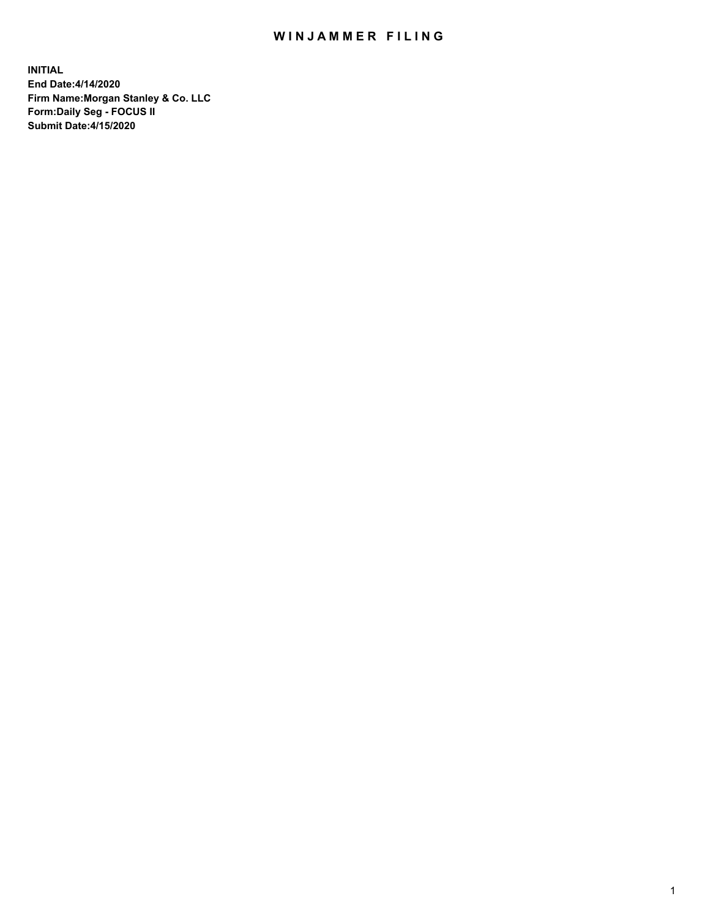## WIN JAMMER FILING

**INITIAL End Date:4/14/2020 Firm Name:Morgan Stanley & Co. LLC Form:Daily Seg - FOCUS II Submit Date:4/15/2020**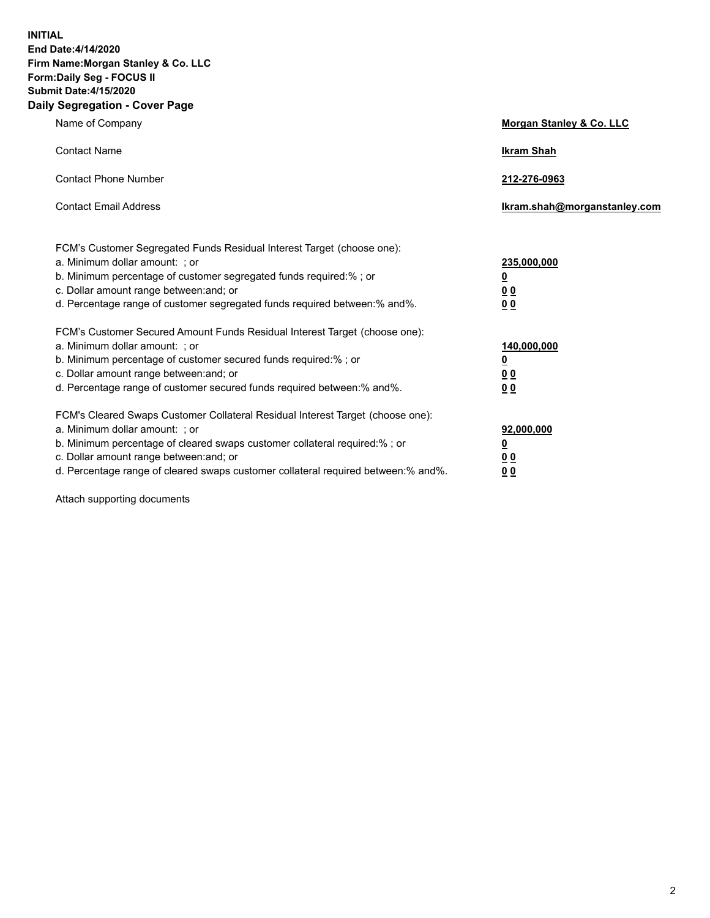**INITIAL End Date:4/14/2020 Firm Name:Morgan Stanley & Co. LLC Form:Daily Seg - FOCUS II Submit Date:4/15/2020 Daily Segregation - Cover Page**

| Name of Company                                                                                          | Morgan Stanley & Co. LLC     |
|----------------------------------------------------------------------------------------------------------|------------------------------|
| <b>Contact Name</b>                                                                                      | <b>Ikram Shah</b>            |
| <b>Contact Phone Number</b>                                                                              | 212-276-0963                 |
| <b>Contact Email Address</b>                                                                             | Ikram.shah@morganstanley.com |
|                                                                                                          |                              |
| FCM's Customer Segregated Funds Residual Interest Target (choose one):<br>a. Minimum dollar amount: ; or | 235,000,000                  |
| b. Minimum percentage of customer segregated funds required:% ; or                                       | <u>0</u>                     |
| c. Dollar amount range between: and; or                                                                  | <u>00</u>                    |
| d. Percentage range of customer segregated funds required between: % and %.                              | 0 <sup>0</sup>               |
| FCM's Customer Secured Amount Funds Residual Interest Target (choose one):                               |                              |
| a. Minimum dollar amount: ; or                                                                           | 140,000,000                  |
| b. Minimum percentage of customer secured funds required:%; or                                           | <u>0</u>                     |
| c. Dollar amount range between: and; or                                                                  | <u>0 0</u>                   |
| d. Percentage range of customer secured funds required between:% and%.                                   | 0 Q                          |
| FCM's Cleared Swaps Customer Collateral Residual Interest Target (choose one):                           |                              |
| a. Minimum dollar amount: ; or                                                                           | 92,000,000                   |
| b. Minimum percentage of cleared swaps customer collateral required:% ; or                               | <u>0</u>                     |
| c. Dollar amount range between: and; or                                                                  | 0 Q                          |
| d. Percentage range of cleared swaps customer collateral required between:% and%.                        | 0 <sub>0</sub>               |

Attach supporting documents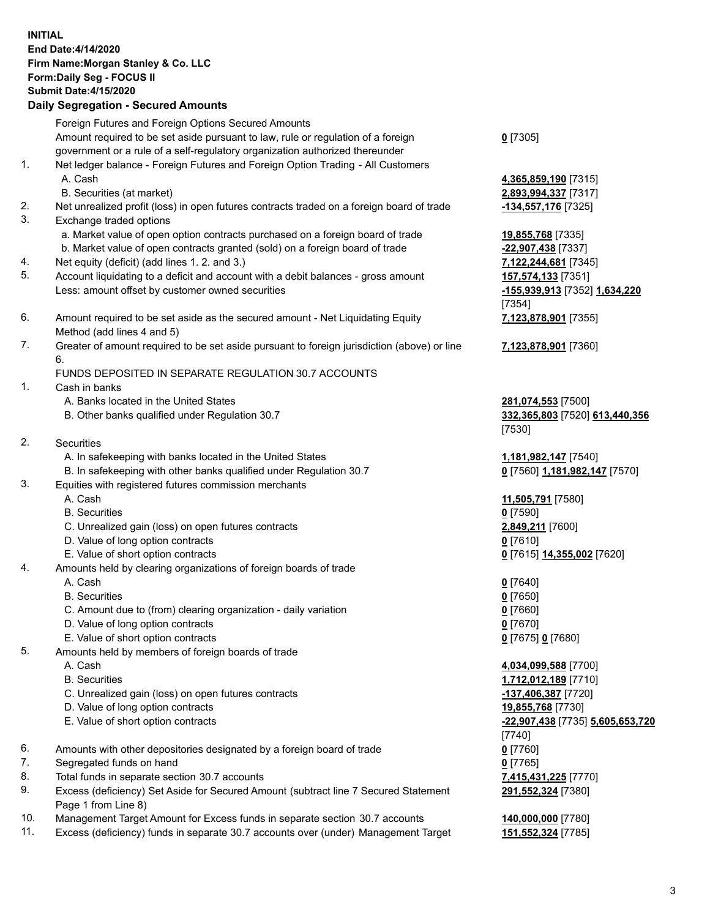## **INITIAL End Date:4/14/2020 Firm Name:Morgan Stanley & Co. LLC Form:Daily Seg - FOCUS II Submit Date:4/15/2020 Daily Segregation - Secured Amounts** Foreign Futures and Foreign Options Secured Amounts Amount required to be set aside pursuant to law, rule or regulation of a foreign government or a rule of a self-regulatory organization authorized thereunder **0** [7305] 1. Net ledger balance - Foreign Futures and Foreign Option Trading - All Customers A. Cash **4,365,859,190** [7315] B. Securities (at market) **2,893,994,337** [7317] 2. Net unrealized profit (loss) in open futures contracts traded on a foreign board of trade **-134,557,176** [7325] 3. Exchange traded options a. Market value of open option contracts purchased on a foreign board of trade **19,855,768** [7335] b. Market value of open contracts granted (sold) on a foreign board of trade **-22,907,438** [7337] 4. Net equity (deficit) (add lines 1. 2. and 3.) **7,122,244,681** [7345] 5. Account liquidating to a deficit and account with a debit balances - gross amount **157,574,133** [7351] Less: amount offset by customer owned securities **-155,939,913** [7352] **1,634,220** [7354] 6. Amount required to be set aside as the secured amount - Net Liquidating Equity Method (add lines 4 and 5) **7,123,878,901** [7355] 7. Greater of amount required to be set aside pursuant to foreign jurisdiction (above) or line 6. **7,123,878,901** [7360] FUNDS DEPOSITED IN SEPARATE REGULATION 30.7 ACCOUNTS 1. Cash in banks A. Banks located in the United States **281,074,553** [7500] B. Other banks qualified under Regulation 30.7 **332,365,803** [7520] **613,440,356** [7530] 2. Securities A. In safekeeping with banks located in the United States **1,181,982,147** [7540] B. In safekeeping with other banks qualified under Regulation 30.7 **0** [7560] **1,181,982,147** [7570] 3. Equities with registered futures commission merchants A. Cash **11,505,791** [7580] B. Securities **0** [7590] C. Unrealized gain (loss) on open futures contracts **2,849,211** [7600] D. Value of long option contracts **0** [7610] E. Value of short option contracts **0** [7615] **14,355,002** [7620] 4. Amounts held by clearing organizations of foreign boards of trade A. Cash **0** [7640] B. Securities **0** [7650] C. Amount due to (from) clearing organization - daily variation **0** [7660] D. Value of long option contracts **0** [7670] E. Value of short option contracts **0** [7675] **0** [7680] 5. Amounts held by members of foreign boards of trade A. Cash **4,034,099,588** [7700] B. Securities **1,712,012,189** [7710] C. Unrealized gain (loss) on open futures contracts **-137,406,387** [7720] D. Value of long option contracts **19,855,768** [7730] E. Value of short option contracts **-22,907,438** [7735] **5,605,653,720** [7740] 6. Amounts with other depositories designated by a foreign board of trade **0** [7760] 7. Segregated funds on hand **0** [7765] 8. Total funds in separate section 30.7 accounts **7,415,431,225** [7770] 9. Excess (deficiency) Set Aside for Secured Amount (subtract line 7 Secured Statement Page 1 from Line 8) **291,552,324** [7380] 10. Management Target Amount for Excess funds in separate section 30.7 accounts **140,000,000** [7780]

11. Excess (deficiency) funds in separate 30.7 accounts over (under) Management Target **151,552,324** [7785]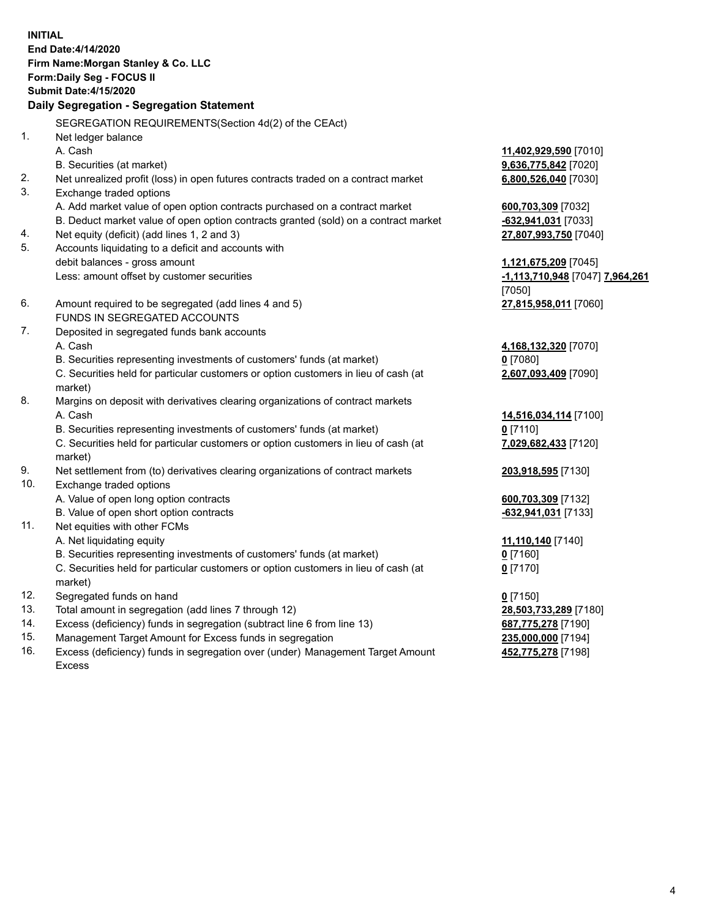**INITIAL End Date:4/14/2020 Firm Name:Morgan Stanley & Co. LLC Form:Daily Seg - FOCUS II Submit Date:4/15/2020 Daily Segregation - Segregation Statement** SEGREGATION REQUIREMENTS(Section 4d(2) of the CEAct) 1. Net ledger balance A. Cash **11,402,929,590** [7010] B. Securities (at market) **9,636,775,842** [7020] 2. Net unrealized profit (loss) in open futures contracts traded on a contract market **6,800,526,040** [7030] 3. Exchange traded options A. Add market value of open option contracts purchased on a contract market **600,703,309** [7032] B. Deduct market value of open option contracts granted (sold) on a contract market **-632,941,031** [7033] 4. Net equity (deficit) (add lines 1, 2 and 3) **27,807,993,750** [7040] 5. Accounts liquidating to a deficit and accounts with debit balances - gross amount **1,121,675,209** [7045] Less: amount offset by customer securities **-1,113,710,948** [7047] **7,964,261** [7050] 6. Amount required to be segregated (add lines 4 and 5) **27,815,958,011** [7060] FUNDS IN SEGREGATED ACCOUNTS 7. Deposited in segregated funds bank accounts A. Cash **4,168,132,320** [7070] B. Securities representing investments of customers' funds (at market) **0** [7080] C. Securities held for particular customers or option customers in lieu of cash (at market) **2,607,093,409** [7090] 8. Margins on deposit with derivatives clearing organizations of contract markets A. Cash **14,516,034,114** [7100] B. Securities representing investments of customers' funds (at market) **0** [7110] C. Securities held for particular customers or option customers in lieu of cash (at market) **7,029,682,433** [7120] 9. Net settlement from (to) derivatives clearing organizations of contract markets **203,918,595** [7130] 10. Exchange traded options A. Value of open long option contracts **600,703,309** [7132] B. Value of open short option contracts **and the set of our of the set of our of the set of our of the set of the set of the set of the set of the set of the set of the set of the set of the set of the set of the set of th** 11. Net equities with other FCMs A. Net liquidating equity **11,110,140** [7140] B. Securities representing investments of customers' funds (at market) **0** [7160] C. Securities held for particular customers or option customers in lieu of cash (at market) **0** [7170] 12. Segregated funds on hand **0** [7150] 13. Total amount in segregation (add lines 7 through 12) **28,503,733,289** [7180] 14. Excess (deficiency) funds in segregation (subtract line 6 from line 13) **687,775,278** [7190] 15. Management Target Amount for Excess funds in segregation **235,000,000** [7194]

16. Excess (deficiency) funds in segregation over (under) Management Target Amount Excess

**452,775,278** [7198]